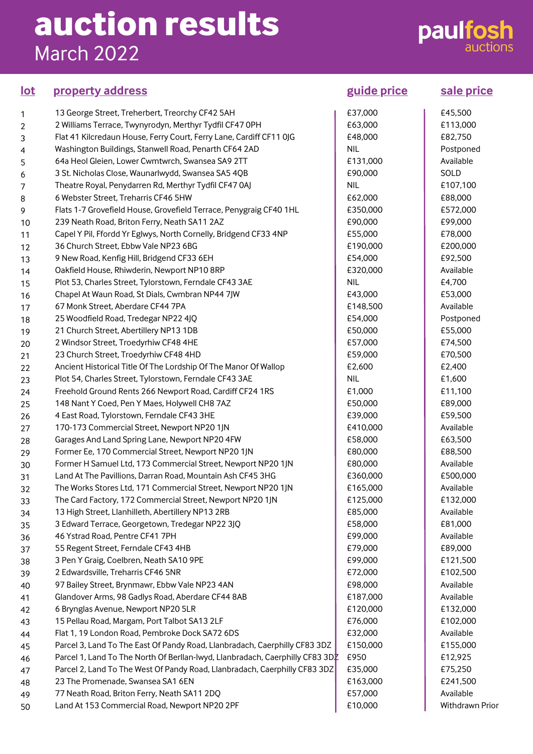## **auction results** March 2022

## **paulfosh**

### **property address guide price sale price lot**

| 1  | 13 George Street, Treherbert, Treorchy CF42 5AH                               | £37,000    |  |
|----|-------------------------------------------------------------------------------|------------|--|
| 2  | 2 Williams Terrace, Twynyrodyn, Merthyr Tydfil CF47 OPH                       | £63,000    |  |
| 3  | Flat 41 Kilcredaun House, Ferry Court, Ferry Lane, Cardiff CF11 0JG           | £48,000    |  |
| 4  | Washington Buildings, Stanwell Road, Penarth CF64 2AD                         | <b>NIL</b> |  |
| 5  | 64a Heol Gleien, Lower Cwmtwrch, Swansea SA9 2TT                              | £131,000   |  |
| 6  | 3 St. Nicholas Close, Waunarlwydd, Swansea SA5 4QB                            | £90,000    |  |
| 7  | Theatre Royal, Penydarren Rd, Merthyr Tydfil CF47 0AJ                         | <b>NIL</b> |  |
| 8  | 6 Webster Street, Treharris CF46 5HW                                          | £62,000    |  |
| 9  | Flats 1-7 Grovefield House, Grovefield Terrace, Penygraig CF40 1HL            | £350,000   |  |
| 10 | 239 Neath Road, Briton Ferry, Neath SA11 2AZ                                  | £90,000    |  |
| 11 | Capel Y Pil, Ffordd Yr Eglwys, North Cornelly, Bridgend CF33 4NP              | £55,000    |  |
| 12 | 36 Church Street, Ebbw Vale NP23 6BG                                          | £190,000   |  |
| 13 | 9 New Road, Kenfig Hill, Bridgend CF33 6EH                                    | £54,000    |  |
| 14 | Oakfield House, Rhiwderin, Newport NP10 8RP                                   | £320,000   |  |
| 15 | Plot 53, Charles Street, Tylorstown, Ferndale CF43 3AE                        | <b>NIL</b> |  |
| 16 | Chapel At Waun Road, St Dials, Cwmbran NP44 7JW                               | £43,000    |  |
| 17 | 67 Monk Street, Aberdare CF44 7PA                                             | £148,500   |  |
| 18 | 25 Woodfield Road, Tredegar NP22 4JQ                                          | £54,000    |  |
| 19 | 21 Church Street, Abertillery NP13 1DB                                        | £50,000    |  |
| 20 | 2 Windsor Street, Troedyrhiw CF48 4HE                                         | £57,000    |  |
| 21 | 23 Church Street, Troedyrhiw CF48 4HD                                         | £59,000    |  |
| 22 | Ancient Historical Title Of The Lordship Of The Manor Of Wallop               | £2,600     |  |
| 23 | Plot 54, Charles Street, Tylorstown, Ferndale CF43 3AE                        | <b>NIL</b> |  |
| 24 | Freehold Ground Rents 266 Newport Road, Cardiff CF24 1RS                      | £1,000     |  |
| 25 | 148 Nant Y Coed, Pen Y Maes, Holywell CH8 7AZ                                 | £50,000    |  |
| 26 | 4 East Road, Tylorstown, Ferndale CF43 3HE                                    | £39,000    |  |
| 27 | 170-173 Commercial Street, Newport NP20 1JN                                   | £410,000   |  |
| 28 | Garages And Land Spring Lane, Newport NP20 4FW                                | £58,000    |  |
| 29 | Former Ee, 170 Commercial Street, Newport NP20 1JN                            | £80,000    |  |
| 30 | Former H Samuel Ltd, 173 Commercial Street, Newport NP20 1JN                  | £80,000    |  |
| 31 | Land At The Pavillions, Darran Road, Mountain Ash CF45 3HG                    | £360,000   |  |
| 32 | The Works Stores Ltd, 171 Commercial Street, Newport NP20 1JN                 | £165,000   |  |
| 33 | The Card Factory, 172 Commercial Street, Newport NP20 1JN                     | £125,000   |  |
| 34 | 13 High Street, Llanhilleth, Abertillery NP13 2RB                             | £85,000    |  |
| 35 | 3 Edward Terrace, Georgetown, Tredegar NP22 3JQ                               | £58,000    |  |
| 36 | 46 Ystrad Road, Pentre CF41 7PH                                               | £99,000    |  |
| 37 | 55 Regent Street, Ferndale CF43 4HB                                           | £79,000    |  |
| 38 | 3 Pen Y Graig, Coelbren, Neath SA10 9PE                                       | £99,000    |  |
| 39 | 2 Edwardsville, Treharris CF46 5NR                                            | £72,000    |  |
|    | 97 Bailey Street, Brynmawr, Ebbw Vale NP23 4AN                                | £98,000    |  |
| 40 | Glandover Arms, 98 Gadlys Road, Aberdare CF44 8AB                             | £187,000   |  |
| 41 | 6 Brynglas Avenue, Newport NP20 5LR                                           | £120,000   |  |
| 42 | 15 Pellau Road, Margam, Port Talbot SA13 2LF                                  | £76,000    |  |
| 43 | Flat 1, 19 London Road, Pembroke Dock SA72 6DS                                | £32,000    |  |
| 44 |                                                                               |            |  |
| 45 | Parcel 3, Land To The East Of Pandy Road, Llanbradach, Caerphilly CF83 3DZ    | £150,000   |  |
| 46 | Parcel 1, Land To The North Of Berllan-lwyd, Llanbradach, Caerphilly CF83 3D. | £950       |  |
| 47 | Parcel 2, Land To The West Of Pandy Road, Llanbradach, Caerphilly CF83 3DZ    | £35,000    |  |
| 48 | 23 The Promenade, Swansea SA1 6EN                                             | £163,000   |  |
| 49 | 77 Neath Road, Briton Ferry, Neath SA11 2DQ                                   | £57,000    |  |
| 50 | Land At 153 Commercial Road, Newport NP20 2PF                                 | £10,000    |  |

£45,500 £113,000 £82,750 Postponed Available SOLD £107,100 £88,000 £572,000 £99,000 £78,000 £200,000 £92,500 Available £4,700 £53,000 Available Postponed £55,000 £74,500 £70,500 £2,400 £1,600 £11,100 £89,000 £59,500 Available £63,500 £88,500 Available £500,000 Available £132,000 Available £81,000 Available £89,000 £121,500 £102,500 Available Available £132,000 £102,000 Available £155,000 £12,925 £75,250 £241,500 Available Withdrawn Prior